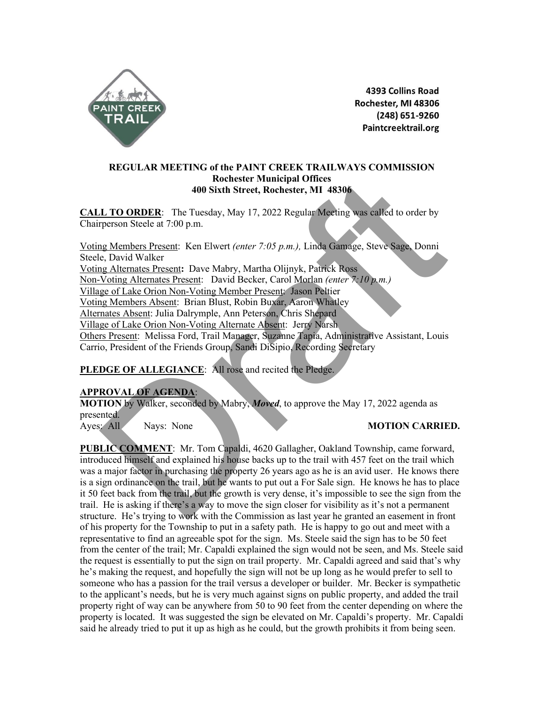

4393 Collins Road Rochester, MI 48306 (248) 651-9260 Paintcreektrail.org

### **REGULAR MEETING of the PAINT CREEK TRAILWAYS COMMISSION Rochester Municipal Offices 400 Sixth Street, Rochester, MI 48306**

**CALL TO ORDER**: The Tuesday, May 17, 2022 Regular Meeting was called to order by Chairperson Steele at 7:00 p.m.

Voting Members Present: Ken Elwert *(enter 7:05 p.m.),* Linda Gamage, Steve Sage, Donni Steele, David Walker Voting Alternates Present**:** Dave Mabry, Martha Olijnyk, Patrick Ross Non-Voting Alternates Present: David Becker, Carol Morlan *(enter 7:10 p.m.)*  Village of Lake Orion Non-Voting Member Present: Jason Peltier Voting Members Absent: Brian Blust, Robin Buxar, Aaron Whatley Alternates Absent: Julia Dalrymple, Ann Peterson, Chris Shepard Village of Lake Orion Non-Voting Alternate Absent: Jerry Narsh Others Present: Melissa Ford, Trail Manager, Suzanne Tapia, Administrative Assistant, Louis Carrio, President of the Friends Group, Sandi DiSipio, Recording Secretary **Branch Control in the United States (Section And 10 Sixth Street, Rochester, M1 48306<br>
10 ORDER: The Tuesday, May 17, 2022 Regular Meeting was called to order by<br>
represon Steele at 7:00 p.m.<br>
10 <u>Plembers</u> Present: Davi** 

## PLEDGE OF ALLEGIANCE: All rose and recited the Pledge.

### **APPROVAL OF AGENDA**:

**MOTION** by Walker, seconded by Mabry, *Moved*, to approve the May 17, 2022 agenda as presented.

Ayes: All Nays: None **MOTION CARRIED.** 

**PUBLIC COMMENT**: Mr. Tom Capaldi, 4620 Gallagher, Oakland Township, came forward, introduced himself and explained his house backs up to the trail with 457 feet on the trail which was a major factor in purchasing the property 26 years ago as he is an avid user. He knows there is a sign ordinance on the trail, but he wants to put out a For Sale sign. He knows he has to place it 50 feet back from the trail, but the growth is very dense, it's impossible to see the sign from the trail. He is asking if there's a way to move the sign closer for visibility as it's not a permanent structure. He's trying to work with the Commission as last year he granted an easement in front of his property for the Township to put in a safety path. He is happy to go out and meet with a representative to find an agreeable spot for the sign. Ms. Steele said the sign has to be 50 feet from the center of the trail; Mr. Capaldi explained the sign would not be seen, and Ms. Steele said the request is essentially to put the sign on trail property. Mr. Capaldi agreed and said that's why he's making the request, and hopefully the sign will not be up long as he would prefer to sell to someone who has a passion for the trail versus a developer or builder. Mr. Becker is sympathetic to the applicant's needs, but he is very much against signs on public property, and added the trail property right of way can be anywhere from 50 to 90 feet from the center depending on where the property is located. It was suggested the sign be elevated on Mr. Capaldi's property. Mr. Capaldi said he already tried to put it up as high as he could, but the growth prohibits it from being seen.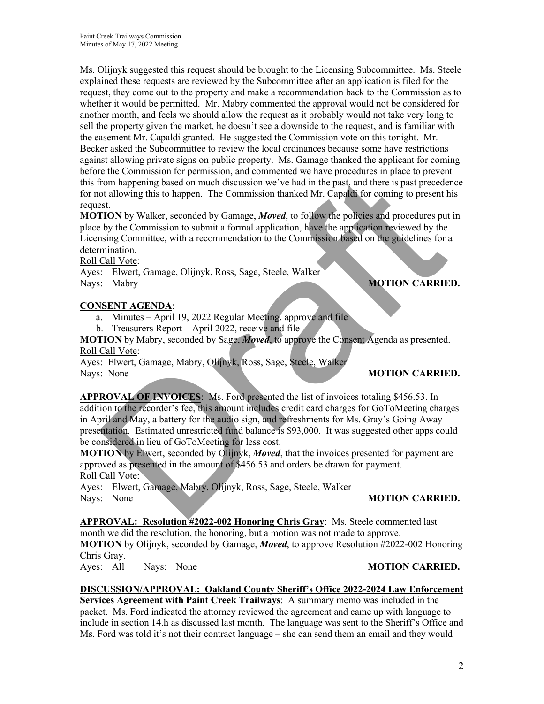Paint Creek Trailways Commission Minutes of May 17, 2022 Meeting

Ms. Olijnyk suggested this request should be brought to the Licensing Subcommittee. Ms. Steele explained these requests are reviewed by the Subcommittee after an application is filed for the request, they come out to the property and make a recommendation back to the Commission as to whether it would be permitted. Mr. Mabry commented the approval would not be considered for another month, and feels we should allow the request as it probably would not take very long to sell the property given the market, he doesn't see a downside to the request, and is familiar with the easement Mr. Capaldi granted. He suggested the Commission vote on this tonight. Mr. Becker asked the Subcommittee to review the local ordinances because some have restrictions against allowing private signs on public property. Ms. Gamage thanked the applicant for coming before the Commission for permission, and commented we have procedures in place to prevent this from happening based on much discussion we've had in the past, and there is past precedence for not allowing this to happen. The Commission thanked Mr. Capaldi for coming to present his request.

**MOTION** by Walker, seconded by Gamage, *Moved*, to follow the policies and procedures put in place by the Commission to submit a formal application, have the application reviewed by the Licensing Committee, with a recommendation to the Commission based on the guidelines for a determination.

Roll Call Vote:

Ayes: Elwert, Gamage, Olijnyk, Ross, Sage, Steele, Walker Nays: Mabry **MOTION CARRIED.** 

### **CONSENT AGENDA**:

a. Minutes – April 19, 2022 Regular Meeting, approve and file

b. Treasurers Report – April 2022, receive and file

**MOTION** by Mabry, seconded by Sage, *Moved*, to approve the Consent Agenda as presented. Roll Call Vote:

Ayes: Elwert, Gamage, Mabry, Olijnyk, Ross, Sage, Steele, Walker Nays: None **MOTION CARRIED.** 

**APPROVAL OF INVOICES**: Ms. Ford presented the list of invoices totaling \$456.53. In addition to the recorder's fee, this amount includes credit card charges for GoToMeeting charges in April and May, a battery for the audio sign, and refreshments for Ms. Gray's Going Away presentation. Estimated unrestricted fund balance is \$93,000. It was suggested other apps could be considered in lieu of GoToMeeting for less cost. The Call Vote<br>
The Commission of the Scheme of the Commission of the Commission of the Commission of the Commission and the state of the state of the State<br>
TION by Walker, seconded by Gianage, *Moved*, to follow the polic

**MOTION** by Elwert, seconded by Olijnyk, *Moved*, that the invoices presented for payment are approved as presented in the amount of \$456.53 and orders be drawn for payment. Roll Call Vote:

Ayes: Elwert, Gamage, Mabry, Olijnyk, Ross, Sage, Steele, Walker Nays: None **MOTION CARRIED.** 

**APPROVAL: Resolution #2022-002 Honoring Chris Gray**: Ms. Steele commented last month we did the resolution, the honoring, but a motion was not made to approve. **MOTION** by Olijnyk, seconded by Gamage, *Moved*, to approve Resolution #2022-002 Honoring Chris Gray.

Ayes: All Nays: None **MOTION CARRIED.** 

## **DISCUSSION/APPROVAL: Oakland County Sheriff's Office 2022-2024 Law Enforcement**

**Services Agreement with Paint Creek Trailways**: A summary memo was included in the packet. Ms. Ford indicated the attorney reviewed the agreement and came up with language to include in section 14.h as discussed last month. The language was sent to the Sheriff's Office and Ms. Ford was told it's not their contract language – she can send them an email and they would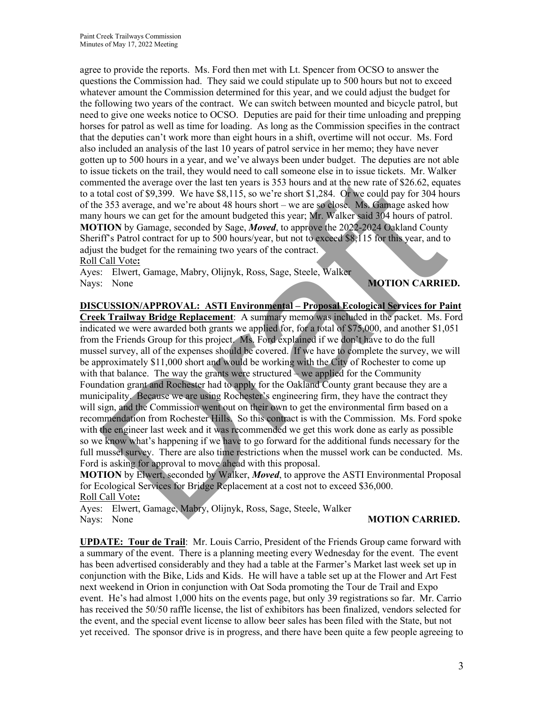agree to provide the reports. Ms. Ford then met with Lt. Spencer from OCSO to answer the questions the Commission had. They said we could stipulate up to 500 hours but not to exceed whatever amount the Commission determined for this year, and we could adjust the budget for the following two years of the contract. We can switch between mounted and bicycle patrol, but need to give one weeks notice to OCSO. Deputies are paid for their time unloading and prepping horses for patrol as well as time for loading. As long as the Commission specifies in the contract that the deputies can't work more than eight hours in a shift, overtime will not occur. Ms. Ford also included an analysis of the last 10 years of patrol service in her memo; they have never gotten up to 500 hours in a year, and we've always been under budget. The deputies are not able to issue tickets on the trail, they would need to call someone else in to issue tickets. Mr. Walker commented the average over the last ten years is 353 hours and at the new rate of \$26.62, equates to a total cost of \$9,399. We have \$8,115, so we're short \$1,284. Or we could pay for 304 hours of the 353 average, and we're about 48 hours short – we are so close. Ms. Gamage asked how many hours we can get for the amount budgeted this year; Mr. Walker said 304 hours of patrol. **MOTION** by Gamage, seconded by Sage, *Moved*, to approve the 2022-2024 Oakland County Sheriff's Patrol contract for up to 500 hours/year, but not to exceed \$8,115 for this year, and to adjust the budget for the remaining two years of the contract. Roll Call Vote**:** 

Ayes: Elwert, Gamage, Mabry, Olijnyk, Ross, Sage, Steele, Walker Nays: None **MOTION CARRIED.** 

**DISCUSSION/APPROVAL: ASTI Environmental – Proposal Ecological Services for Paint** 

**Creek Trailway Bridge Replacement**: A summary memo was included in the packet. Ms. Ford indicated we were awarded both grants we applied for, for a total of \$75,000, and another \$1,051 from the Friends Group for this project. Ms. Ford explained if we don't have to do the full mussel survey, all of the expenses should be covered. If we have to complete the survey, we will be approximately \$11,000 short and would be working with the City of Rochester to come up with that balance. The way the grants were structured – we applied for the Community Foundation grant and Rochester had to apply for the Oakland County grant because they are a municipality. Because we are using Rochester's engineering firm, they have the contract they will sign, and the Commission went out on their own to get the environmental firm based on a recommendation from Rochester Hills. So this contract is with the Commission. Ms. Ford spoke with the engineer last week and it was recommended we get this work done as early as possible so we know what's happening if we have to go forward for the additional funds necessary for the full mussel survey. There are also time restrictions when the mussel work can be conducted. Ms. Ford is asking for approval to move ahead with this proposal. ex textors on the time may by solution and the new states of the same term of the states of 193,93 and at the present SL284. Or we are solutions (526.62, equal or 520 and controls (530, 52, equal or 530 and set of 826.62,

**MOTION** by Elwert, seconded by Walker, *Moved*, to approve the ASTI Environmental Proposal for Ecological Services for Bridge Replacement at a cost not to exceed \$36,000. Roll Call Vote**:** 

Ayes: Elwert, Gamage, Mabry, Olijnyk, Ross, Sage, Steele, Walker Nays: None **MOTION CARRIED.** 

**UPDATE: Tour de Trail**: Mr. Louis Carrio, President of the Friends Group came forward with a summary of the event. There is a planning meeting every Wednesday for the event. The event has been advertised considerably and they had a table at the Farmer's Market last week set up in conjunction with the Bike, Lids and Kids. He will have a table set up at the Flower and Art Fest next weekend in Orion in conjunction with Oat Soda promoting the Tour de Trail and Expo event. He's had almost 1,000 hits on the events page, but only 39 registrations so far. Mr. Carrio has received the 50/50 raffle license, the list of exhibitors has been finalized, vendors selected for the event, and the special event license to allow beer sales has been filed with the State, but not yet received. The sponsor drive is in progress, and there have been quite a few people agreeing to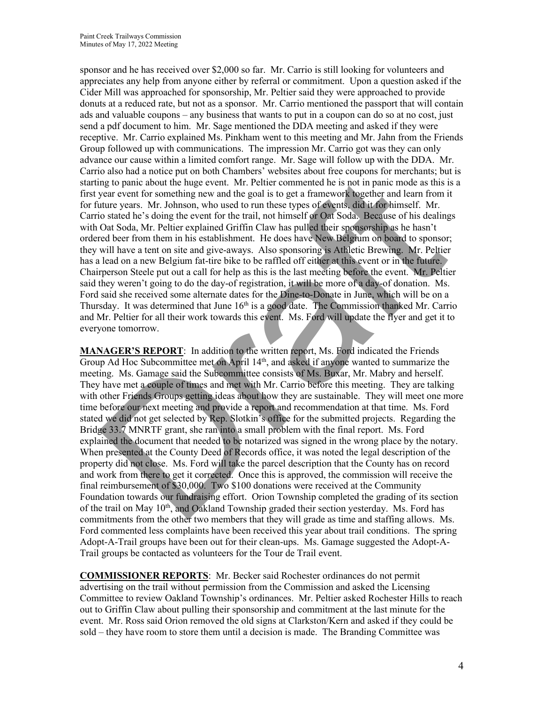sponsor and he has received over \$2,000 so far. Mr. Carrio is still looking for volunteers and appreciates any help from anyone either by referral or commitment. Upon a question asked if the Cider Mill was approached for sponsorship, Mr. Peltier said they were approached to provide donuts at a reduced rate, but not as a sponsor. Mr. Carrio mentioned the passport that will contain ads and valuable coupons – any business that wants to put in a coupon can do so at no cost, just send a pdf document to him. Mr. Sage mentioned the DDA meeting and asked if they were receptive. Mr. Carrio explained Ms. Pinkham went to this meeting and Mr. Jahn from the Friends Group followed up with communications. The impression Mr. Carrio got was they can only advance our cause within a limited comfort range. Mr. Sage will follow up with the DDA. Mr. Carrio also had a notice put on both Chambers' websites about free coupons for merchants; but is starting to panic about the huge event. Mr. Peltier commented he is not in panic mode as this is a first year event for something new and the goal is to get a framework together and learn from it for future years. Mr. Johnson, who used to run these types of events, did it for himself. Mr. Carrio stated he's doing the event for the trail, not himself or Oat Soda. Because of his dealings with Oat Soda, Mr. Peltier explained Griffin Claw has pulled their sponsorship as he hasn't ordered beer from them in his establishment. He does have New Belgium on board to sponsor; they will have a tent on site and give-aways. Also sponsoring is Athletic Brewing. Mr. Peltier has a lead on a new Belgium fat-tire bike to be raffled off either at this event or in the future. Chairperson Steele put out a call for help as this is the last meeting before the event. Mr. Peltier said they weren't going to do the day-of registration, it will be more of a day-of donation. Ms. Ford said she received some alternate dates for the Dine-to-Donate in June, which will be on a Thursday. It was determined that June 16<sup>th</sup> is a good date. The Commission thanked Mr. Carrio and Mr. Peltier for all their work towards this event. Ms. Ford will update the flyer and get it to everyone tomorrow.

**MANAGER'S REPORT**: In addition to the written report, Ms. Ford indicated the Friends Group Ad Hoc Subcommittee met on April 14th, and asked if anyone wanted to summarize the meeting. Ms. Gamage said the Subcommittee consists of Ms. Buxar, Mr. Mabry and herself. They have met a couple of times and met with Mr. Carrio before this meeting. They are talking with other Friends Groups getting ideas about how they are sustainable. They will meet one more time before our next meeting and provide a report and recommendation at that time. Ms. Ford stated we did not get selected by Rep. Slotkin's office for the submitted projects. Regarding the Bridge 33.7 MNRTF grant, she ran into a small problem with the final report. Ms. Ford explained the document that needed to be notarized was signed in the wrong place by the notary. When presented at the County Deed of Records office, it was noted the legal description of the property did not close. Ms. Ford will take the parcel description that the County has on record and work from there to get it corrected. Once this is approved, the commission will receive the final reimbursement of \$30,000. Two \$100 donations were received at the Community Foundation towards our fundraising effort. Orion Township completed the grading of its section of the trail on May 10<sup>th</sup>, and Oakland Township graded their section yesterday. Ms. Ford has commitments from the other two members that they will grade as time and staffing allows. Ms. Ford commented less complaints have been received this year about trail conditions. The spring Adopt-A-Trail groups have been out for their clean-ups. Ms. Gamage suggested the Adopt-A-Trail groups be contacted as volunteers for the Tour de Trail event. o as a neutron to meet pure of the medical sections and the comparison of the star and the star and the pure cent for some that the huge is to pair about the huge cent. Mr. Peltier commented he is not in panic mode as thi

**COMMISSIONER REPORTS**: Mr. Becker said Rochester ordinances do not permit advertising on the trail without permission from the Commission and asked the Licensing Committee to review Oakland Township's ordinances. Mr. Peltier asked Rochester Hills to reach out to Griffin Claw about pulling their sponsorship and commitment at the last minute for the event. Mr. Ross said Orion removed the old signs at Clarkston/Kern and asked if they could be sold – they have room to store them until a decision is made. The Branding Committee was